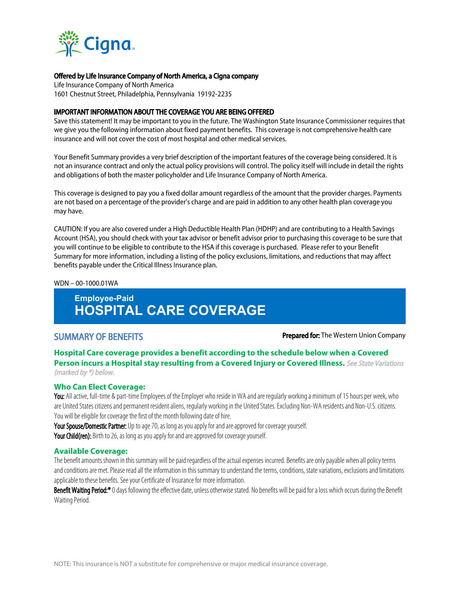

# Offered by Life Insurance Company of North America, a Cigna company

Life Insurance Company of North America 1601 Chestnut Street, Philadelphia, Pennsylvania 19192-2235

#### IMPORTANT INFORMATION ABOUT THE COVERAGE YOU ARE BEING OFFERED

Save this statement! It may be important to you in the future. The Washington State Insurance Commissioner requires that we give you the following information about fixed payment benefits. This coverage is not comprehensive health care insurance and will not cover the cost of most hospital and other medical services.

Your Benefit Summary provides a very brief description of the important features of the coverage being considered. It is not an insurance contract and only the actual policy provisions will control. The policy itself will include in detail the rights and obligations of both the master policyholder and Life Insurance Company of North America.

This coverage is designed to pay you a fixed dollar amount regardless of the amount that the provider charges. Payments are not based on a percentage of the provider's charge and are paid in addition to any other health plan coverage you may have.

CAUTION: If you are also covered under a High Deductible Health Plan (HDHP) and are contributing to a Health Savings Account (HSA), you should check with your tax advisor or benefit advisor prior to purchasing this coverage to be sure that you will continue to be eligible to contribute to the HSA if this coverage is purchased. Please refer to your Benefit Summary for more information, including a listing of the policy exclusions, limitations, and reductions that may affect benefits payable under the Critical Illness Insurance plan.

#### WDN – 00-1000.01WA

# **Employee-Paid HOSPITAL CARE COVERAGE**

SUMMARY OF BENEFITS **Prepared for:** The Western Union Company

#### **Hospital Care coverage provides a benefit according to the schedule below when a Covered Person incurs a Hospital stay resulting from a Covered Injury or Covered Illness.** See State Variations (marked by \*) below.

#### **Who Can Elect Coverage:**

You: All active, full-time & part-time Employees of the Employer who reside in WA and are regularly working a minimum of 15 hours per week, who are United States citizens and permanent resident aliens, regularly working in the United States. Excluding Non-WA residents and Non-U.S. citizens. You will be eligible for coverage the first of the month following date of hire.

Your Spouse/Domestic Partner: Up to age 70, as long as you apply for and are approved for coverage yourself. Your Child(ren): Birth to 26, as long as you apply for and are approved for coverage yourself.

#### **Available Coverage:**

The benefit amounts shown in this summary will be paid regardless of the actual expenses incurred. Benefits are only payable when all policy terms and conditions are met. Please read all the information in this summary to understand the terms, conditions, state variations, exclusions and limitations applicable to these benefits. See your Certificate of Insurance for more information.

Benefit Waiting Period:\* 0 days following the effective date, unless otherwise stated. No benefits will be paid for a loss which occurs during the Benefit Waiting Period.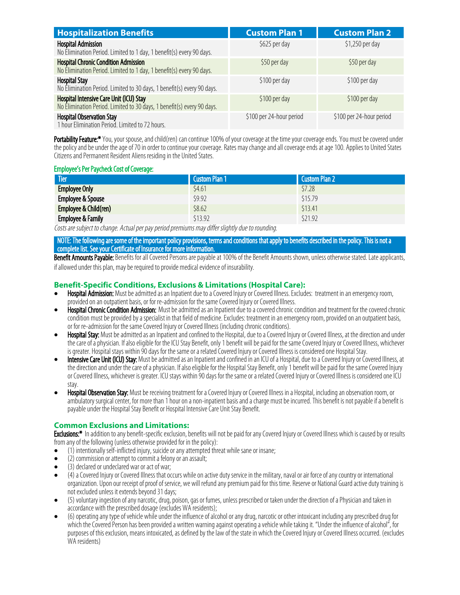| <b>Hospitalization Benefits</b>                                                                                     | <b>Custom Plan 1</b>     | <b>Custom Plan 2</b>     |
|---------------------------------------------------------------------------------------------------------------------|--------------------------|--------------------------|
| <b>Hospital Admission</b><br>No Elimination Period. Limited to 1 day, 1 benefit(s) every 90 days.                   | \$625 per day            | \$1,250 per day          |
| <b>Hospital Chronic Condition Admission</b><br>No Elimination Period. Limited to 1 day, 1 benefit(s) every 90 days. | \$50 per day             | \$50 per day             |
| <b>Hospital Stay</b><br>No Elimination Period. Limited to 30 days, 1 benefit(s) every 90 days.                      | \$100 per day            | \$100 per day            |
| Hospital Intensive Care Unit (ICU) Stay<br>No Elimination Period. Limited to 30 days, 1 benefit(s) every 90 days.   | \$100 per day            | \$100 per day            |
| <b>Hospital Observation Stay</b><br>1 hour Elimination Period. Limited to 72 hours.                                 | \$100 per 24-hour period | \$100 per 24-hour period |

Portability Feature:\* You, your spouse, and child(ren) can continue 100% of your coverage at the time your coverage ends. You must be covered under the policy and be under the age of70in order to continue your coverage. Rates may change and all coverage ends at age100. Applies to United States Citizens and Permanent Resident Aliens residing in the United States.

#### **Employee's Per Paycheck Cost of Coverage:**

| <b>Tier</b>                  | Custom Plan 1 | Custom Plan 2 |
|------------------------------|---------------|---------------|
| <b>Employee Only</b>         | \$4.61        | \$7.28        |
| Employee & Spouse            | \$9.92        | \$15.79       |
| Employee & Child(ren)        | \$8.62        | \$13.41       |
| <b>Employee &amp; Family</b> | \$13.92       | \$21.92       |

Costs are subject to change. Actual per pay period premiums may differ slightly due to rounding.

NOTE: The following are some of the important policy provisions, terms and conditions that apply to benefits described in the policy. This is not a complete list. See your Certificate of Insurance for more information.

Benefit Amounts Payable: Benefits for all Covered Persons are payable at 100% of the Benefit Amounts shown, unless otherwise stated. Late applicants, if allowed under this plan, may be required to provide medical evidence of insurability.

## **Benefit-Specific Conditions, Exclusions & Limitations (Hospital Care):**

- Hospital Admission: Must be admitted as an Inpatient due to a Covered Injury or Covered Illness. Excludes: treatment in an emergency room, provided on an outpatient basis, or for re-admission for the same Covered Injury or Covered Illness.
- Hospital Chronic Condition Admission: Must be admitted as an Inpatient due to a covered chronic condition and treatment for the covered chronic condition must be provided by a specialist in that field of medicine. Excludes: treatment in an emergency room, provided on an outpatient basis, or for re-admission for the same Covered Injury or Covered Illness (including chronic conditions).
- Hospital Stay: Must be admitted as an Inpatient and confined to the Hospital, due to a Covered Injury or Covered Illness, at the direction and under the care of a physician. If also eligible for the ICU Stay Benefit, only 1 benefit will be paid for the same Covered Injury or Covered Illness, whichever is greater. Hospital stays within 90 days for the same or a related Covered Injury or Covered Illness is considered one Hospital Stay.
- Intensive Care Unit (ICU) Stay: Must be admitted as an Inpatient and confined in an ICU of a Hospital, due to a Covered Injury or Covered Illness, at the direction and under the care of a physician. If also eligible for the Hospital Stay Benefit, only 1 benefit will be paid for the same Covered Injury or Covered Illness, whichever is greater. ICU stays within 90 days for the same or a related Covered Injury or Covered Illness is considered one ICU stay.
- **Hospital Observation Stay:** Must be receiving treatment for a Covered Injury or Covered Illness in a Hospital, including an observation room, or ambulatory surgical center, for more than 1 hour on a non-inpatient basis and a charge must be incurred. This benefit is not payable if a benefit is payable under the Hospital Stay Benefit or Hospital Intensive Care Unit Stay Benefit.

## **Common Exclusions and Limitations:**

Exclusions:\* In addition to any benefit-specific exclusion, benefits will not be paid for any Covered Injury or Covered Illness which is caused by or results from any of the following (unless otherwise provided for in the policy):

- · (1) intentionally self-inflicted injury, suicide or any attempted threat while sane or insane;
- (2) commission or attempt to commit a felony or an assault;
- · (3) declared or undeclared war or act of war;
- · (4) a Covered Injury or Covered Illness that occurs while on active duty service in the military, naval or air force of any country or international organization. Upon our receipt of proof of service, we will refund any premium paid for this time. Reserve or National Guard active duty training is not excluded unless it extends beyond 31 days;
- · (5) voluntary ingestion of any narcotic, drug, poison, gas or fumes, unless prescribed or taken under the direction of a Physician and taken in accordance with the prescribed dosage (excludes WA residents);
- · (6) operating any type of vehicle while under the influence of alcohol or any drug, narcotic or other intoxicant including any prescribed drug for which the Covered Person has been provided a written warning against operating a vehicle while taking it. "Under the influence of alcohol", for purposes of this exclusion, means intoxicated, as defined by the law of the state in which the Covered Injury or Covered Illness occurred. (excludes WA residents)